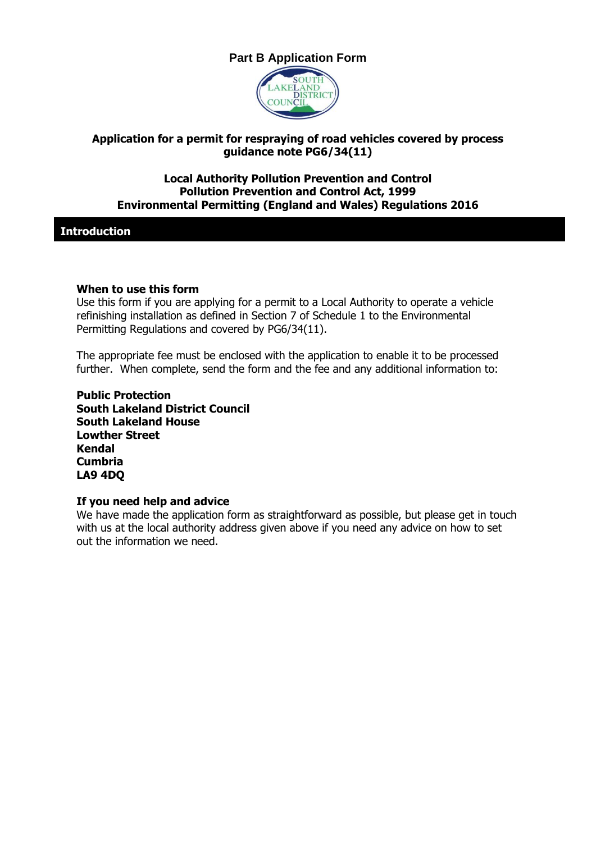# **Part B Application Form**



### **Application for a permit for respraying of road vehicles covered by process guidance note PG6/34(11)**

#### **Local Authority Pollution Prevention and Control Pollution Prevention and Control Act, 1999 Environmental Permitting (England and Wales) Regulations 2016**

**Introduction**

#### **When to use this form**

Use this form if you are applying for a permit to a Local Authority to operate a vehicle refinishing installation as defined in Section 7 of Schedule 1 to the Environmental Permitting Regulations and covered by PG6/34(11).

The appropriate fee must be enclosed with the application to enable it to be processed further. When complete, send the form and the fee and any additional information to:

**Public Protection South Lakeland District Council South Lakeland House Lowther Street Kendal Cumbria LA9 4DQ**

#### **If you need help and advice**

We have made the application form as straightforward as possible, but please get in touch with us at the local authority address given above if you need any advice on how to set out the information we need.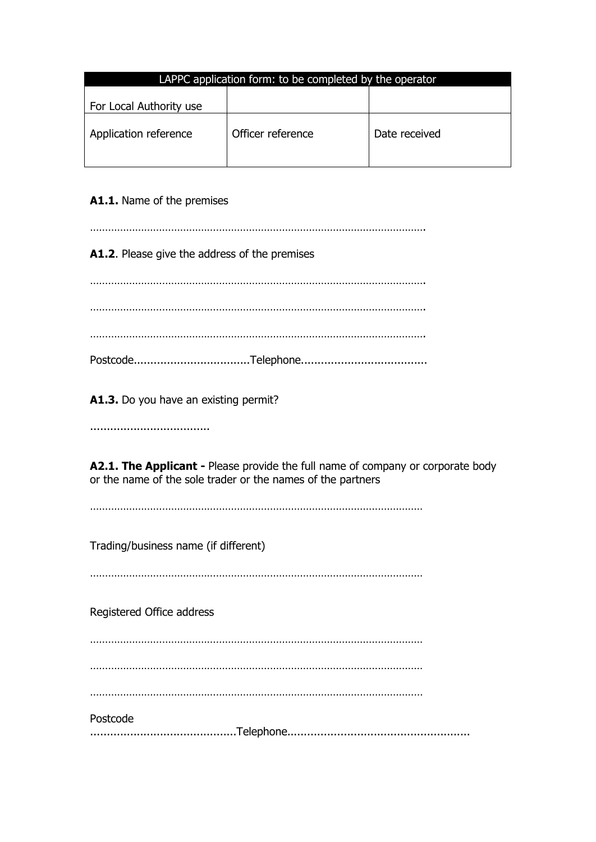| LAPPC application form: to be completed by the operator |                   |               |  |
|---------------------------------------------------------|-------------------|---------------|--|
| For Local Authority use                                 |                   |               |  |
| Application reference                                   | Officer reference | Date received |  |

## **A1.1.** Name of the premises

…………………………………………………………………………………………………. **A1.2**. Please give the address of the premises …………………………………………………………………………………………………. …………………………………………………………………………………………………. …………………………………………………………………………………………………. Postcode...................................Telephone...................................... **A1.3.** Do you have an existing permit? .................................... **A2.1. The Applicant -** Please provide the full name of company or corporate body or the name of the sole trader or the names of the partners ………………………………………………………………………………………………… Trading/business name (if different) ………………………………………………………………………………………………… Registered Office address ………………………………………………………………………………………………… ………………………………………………………………………………………………… ………………………………………………………………………………………………… Postcode ............................................Telephone.......................................................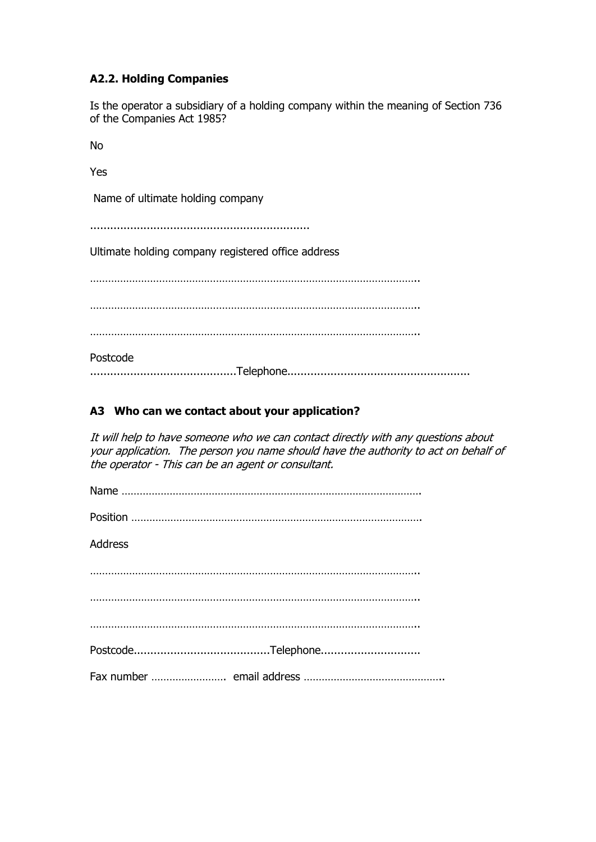## **A2.2. Holding Companies**

Is the operator a subsidiary of a holding company within the meaning of Section 736 of the Companies Act 1985?

No

Yes

Name of ultimate holding company

..................................................................

Ultimate holding company registered office address

………………………………………………………………………………………………..

………………………………………………………………………………………………..

………………………………………………………………………………………………..

Postcode ............................................Telephone.......................................................

### **A3 Who can we contact about your application?**

It will help to have someone who we can contact directly with any questions about your application. The person you name should have the authority to act on behalf of the operator - This can be an agent or consultant.

| <b>Address</b> |
|----------------|
|                |
|                |
|                |
|                |
|                |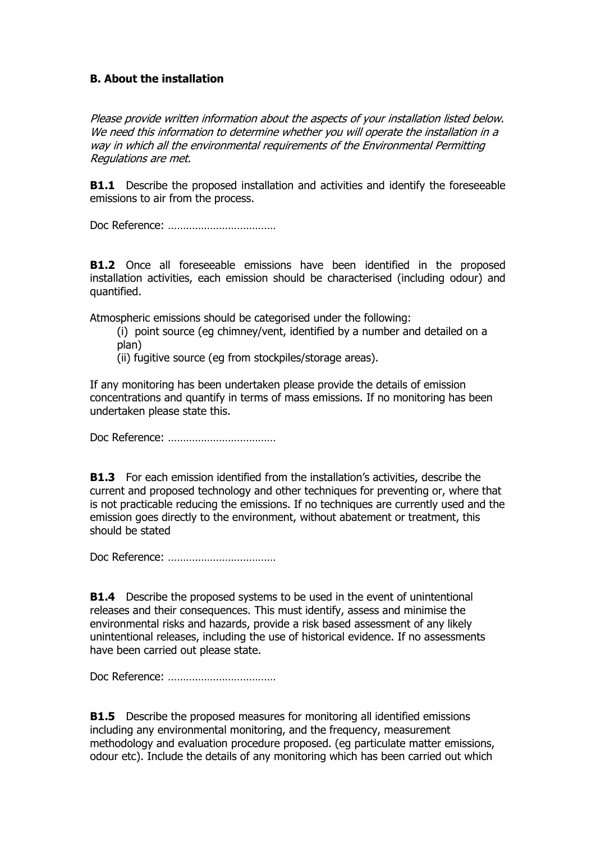### **B. About the installation**

Please provide written information about the aspects of your installation listed below. We need this information to determine whether you will operate the installation in a way in which all the environmental requirements of the Environmental Permitting Regulations are met.

**B1.1** Describe the proposed installation and activities and identify the foreseeable emissions to air from the process.

Doc Reference: ………………………………

**B1.2** Once all foreseeable emissions have been identified in the proposed installation activities, each emission should be characterised (including odour) and quantified.

Atmospheric emissions should be categorised under the following:

(i) point source (eg chimney/vent, identified by a number and detailed on a plan)

(ii) fugitive source (eg from stockpiles/storage areas).

If any monitoring has been undertaken please provide the details of emission concentrations and quantify in terms of mass emissions. If no monitoring has been undertaken please state this.

Doc Reference: ………………………………

**B1.3** For each emission identified from the installation's activities, describe the current and proposed technology and other techniques for preventing or, where that is not practicable reducing the emissions. If no techniques are currently used and the emission goes directly to the environment, without abatement or treatment, this should be stated

Doc Reference: ………………………………

**B1.4** Describe the proposed systems to be used in the event of unintentional releases and their consequences. This must identify, assess and minimise the environmental risks and hazards, provide a risk based assessment of any likely unintentional releases, including the use of historical evidence. If no assessments have been carried out please state.

Doc Reference: ………………………………

**B1.5** Describe the proposed measures for monitoring all identified emissions including any environmental monitoring, and the frequency, measurement methodology and evaluation procedure proposed. (eg particulate matter emissions, odour etc). Include the details of any monitoring which has been carried out which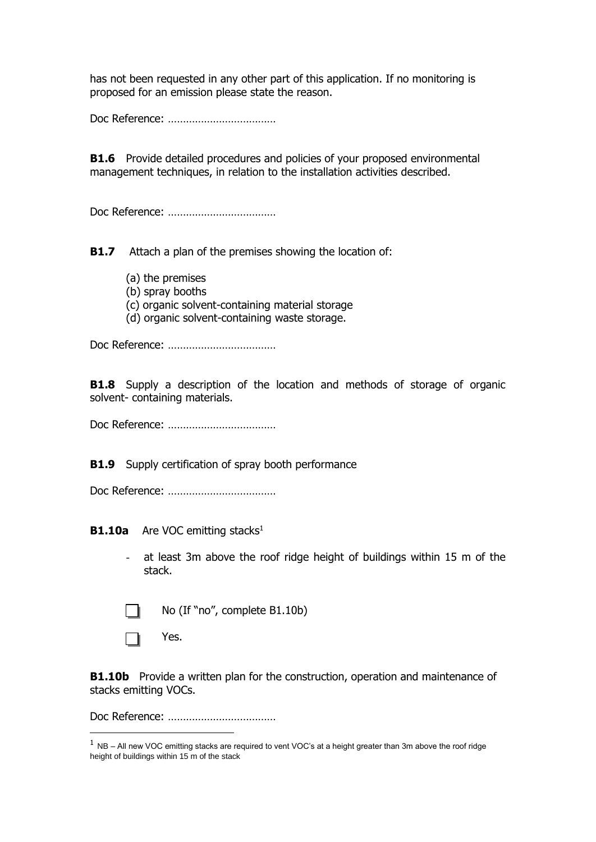has not been requested in any other part of this application. If no monitoring is proposed for an emission please state the reason.

Doc Reference: ………………………………

**B1.6** Provide detailed procedures and policies of your proposed environmental management techniques, in relation to the installation activities described.

Doc Reference: ………………………………

**B1.7** Attach a plan of the premises showing the location of:

- (a) the premises
- (b) spray booths
- (c) organic solvent-containing material storage
- (d) organic solvent-containing waste storage.

Doc Reference: ………………………………

**B1.8** Supply a description of the location and methods of storage of organic solvent- containing materials.

Doc Reference: ………………………………

**B1.9** Supply certification of spray booth performance

Doc Reference: ………………………………

**B1.10a** Are VOC emitting stacks<sup>1</sup>

at least 3m above the roof ridge height of buildings within 15 m of the stack.



-

No (If "no", complete B1.10b)

П Yes.

**B1.10b** Provide a written plan for the construction, operation and maintenance of stacks emitting VOCs.

Doc Reference: ………………………………

 $1$  NB – All new VOC emitting stacks are required to vent VOC's at a height greater than 3m above the roof ridge height of buildings within 15 m of the stack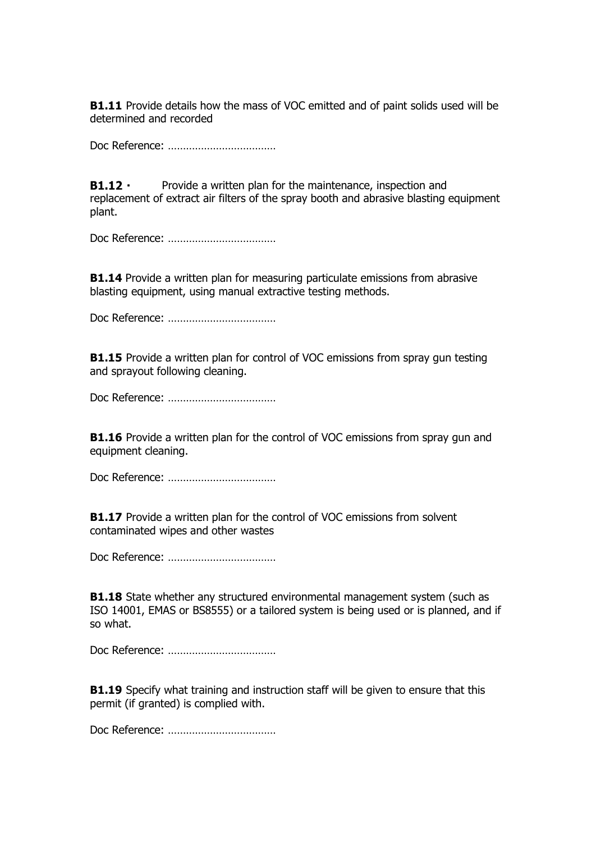**B1.11** Provide details how the mass of VOC emitted and of paint solids used will be determined and recorded

Doc Reference: ………………………………

 $B1.12 -$ Provide a written plan for the maintenance, inspection and replacement of extract air filters of the spray booth and abrasive blasting equipment plant.

Doc Reference: ………………………………

**B1.14** Provide a written plan for measuring particulate emissions from abrasive blasting equipment, using manual extractive testing methods.

Doc Reference: ………………………………

**B1.15** Provide a written plan for control of VOC emissions from spray gun testing and sprayout following cleaning.

Doc Reference: ………………………………

**B1.16** Provide a written plan for the control of VOC emissions from spray gun and equipment cleaning.

Doc Reference: ………………………………

**B1.17** Provide a written plan for the control of VOC emissions from solvent contaminated wipes and other wastes

Doc Reference: ………………………………

**B1.18** State whether any structured environmental management system (such as ISO 14001, EMAS or BS8555) or a tailored system is being used or is planned, and if so what.

Doc Reference: ………………………………

**B1.19** Specify what training and instruction staff will be given to ensure that this permit (if granted) is complied with.

Doc Reference: ………………………………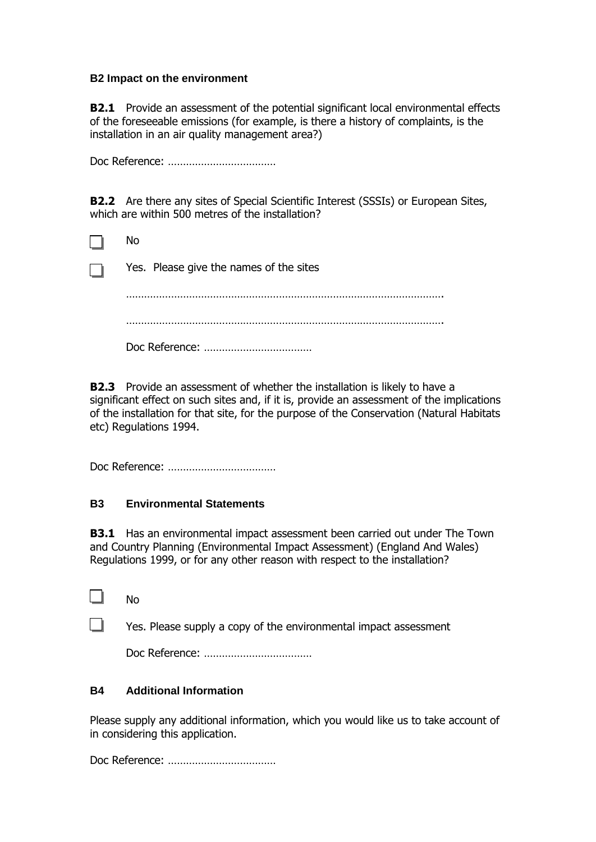#### **B2 Impact on the environment**

**B2.1** Provide an assessment of the potential significant local environmental effects of the foreseeable emissions (for example, is there a history of complaints, is the installation in an air quality management area?)

Doc Reference: ………………………………

**B2.2** Are there any sites of Special Scientific Interest (SSSIs) or European Sites, which are within 500 metres of the installation?

|                            | No                                      |
|----------------------------|-----------------------------------------|
| $\mathcal{L}_{\text{max}}$ | Yes. Please give the names of the sites |
|                            |                                         |
|                            | .                                       |
|                            |                                         |

**B2.3** Provide an assessment of whether the installation is likely to have a significant effect on such sites and, if it is, provide an assessment of the implications of the installation for that site, for the purpose of the Conservation (Natural Habitats etc) Regulations 1994.

Doc Reference: ………………………………

### **B3 Environmental Statements**

**B3.1** Has an environmental impact assessment been carried out under The Town and Country Planning (Environmental Impact Assessment) (England And Wales) Regulations 1999, or for any other reason with respect to the installation?

No

Yes. Please supply a copy of the environmental impact assessment

Doc Reference: ………………………………

### **B4 Additional Information**

Please supply any additional information, which you would like us to take account of in considering this application.

Doc Reference: ………………………………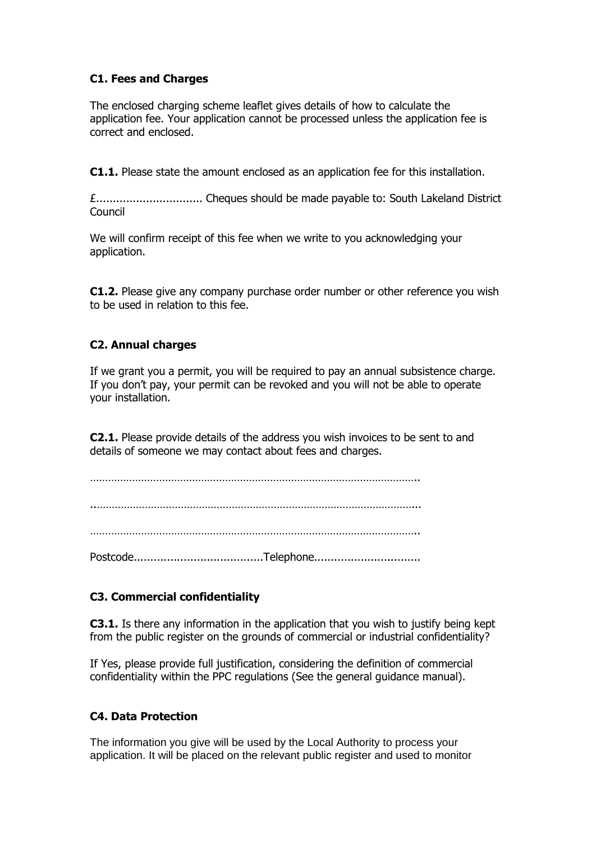## **C1. Fees and Charges**

The enclosed charging scheme leaflet gives details of how to calculate the application fee. Your application cannot be processed unless the application fee is correct and enclosed.

**C1.1.** Please state the amount enclosed as an application fee for this installation.

£................................ Cheques should be made payable to: South Lakeland District Council

We will confirm receipt of this fee when we write to you acknowledging your application.

**C1.2.** Please give any company purchase order number or other reference you wish to be used in relation to this fee.

### **C2. Annual charges**

If we grant you a permit, you will be required to pay an annual subsistence charge. If you don't pay, your permit can be revoked and you will not be able to operate your installation.

**C2.1.** Please provide details of the address you wish invoices to be sent to and details of someone we may contact about fees and charges.

……………………………………………………………………………………………….. ..……………………………………………………………………………………………... ………………………………………………………………………………………………..

Postcode.......................................Telephone................................

# **C3. Commercial confidentiality**

**C3.1.** Is there any information in the application that you wish to justify being kept from the public register on the grounds of commercial or industrial confidentiality?

If Yes, please provide full justification, considering the definition of commercial confidentiality within the PPC regulations (See the general guidance manual).

### **C4. Data Protection**

The information you give will be used by the Local Authority to process your application. It will be placed on the relevant public register and used to monitor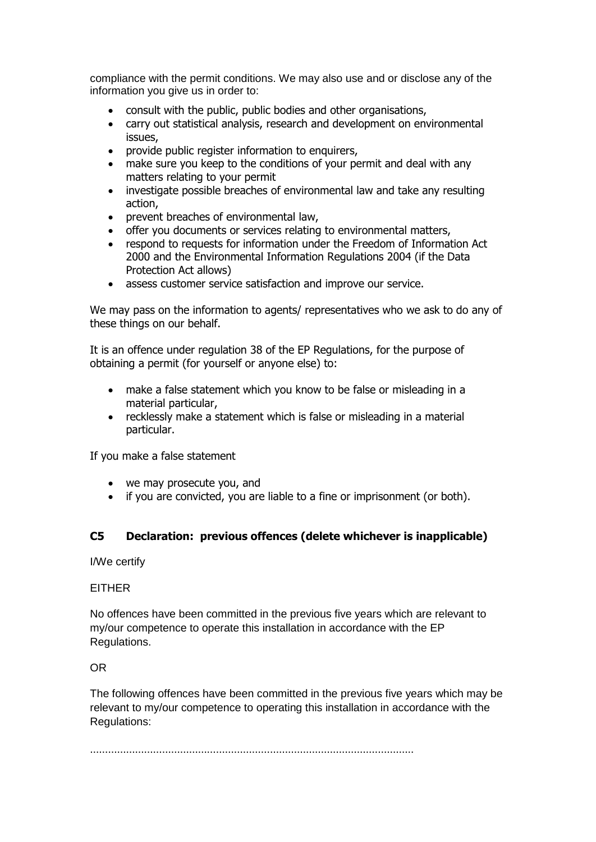compliance with the permit conditions. We may also use and or disclose any of the information you give us in order to:

- consult with the public, public bodies and other organisations,
- carry out statistical analysis, research and development on environmental issues,
- provide public register information to enquirers,
- make sure you keep to the conditions of your permit and deal with any matters relating to your permit
- investigate possible breaches of environmental law and take any resulting action,
- prevent breaches of environmental law,
- offer you documents or services relating to environmental matters,
- respond to requests for information under the Freedom of Information Act 2000 and the Environmental Information Regulations 2004 (if the Data Protection Act allows)
- assess customer service satisfaction and improve our service.

We may pass on the information to agents/ representatives who we ask to do any of these things on our behalf.

It is an offence under regulation 38 of the EP Regulations, for the purpose of obtaining a permit (for yourself or anyone else) to:

- make a false statement which you know to be false or misleading in a material particular,
- recklessly make a statement which is false or misleading in a material particular.

If you make a false statement

- we may prosecute you, and
- if you are convicted, you are liable to a fine or imprisonment (or both).

### **C5 Declaration: previous offences (delete whichever is inapplicable)**

I/We certify

#### EITHER

No offences have been committed in the previous five years which are relevant to my/our competence to operate this installation in accordance with the EP Regulations.

OR

The following offences have been committed in the previous five years which may be relevant to my/our competence to operating this installation in accordance with the Regulations:

………………………………………………………………………………………………